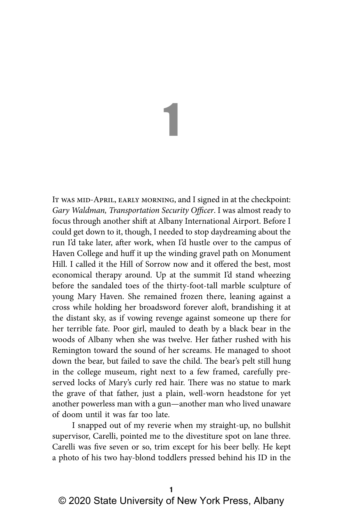1

It was mid-April, early morning, and I signed in at the checkpoint: *Gary Waldman, Transportation Security Officer*. I was almost ready to focus through another shift at Albany International Airport. Before I could get down to it, though, I needed to stop daydreaming about the run I'd take later, after work, when I'd hustle over to the campus of Haven College and huff it up the winding gravel path on Monument Hill. I called it the Hill of Sorrow now and it offered the best, most economical therapy around. Up at the summit I'd stand wheezing before the sandaled toes of the thirty-foot-tall marble sculpture of young Mary Haven. She remained frozen there, leaning against a cross while holding her broadsword forever aloft, brandishing it at the distant sky, as if vowing revenge against someone up there for her terrible fate. Poor girl, mauled to death by a black bear in the woods of Albany when she was twelve. Her father rushed with his Remington toward the sound of her screams. He managed to shoot down the bear, but failed to save the child. The bear's pelt still hung in the college museum, right next to a few framed, carefully preserved locks of Mary's curly red hair. There was no statue to mark the grave of that father, just a plain, well-worn headstone for yet another powerless man with a gun—another man who lived unaware of doom until it was far too late.

I snapped out of my reverie when my straight-up, no bullshit supervisor, Carelli, pointed me to the divestiture spot on lane three. Carelli was five seven or so, trim except for his beer belly. He kept a photo of his two hay-blond toddlers pressed behind his ID in the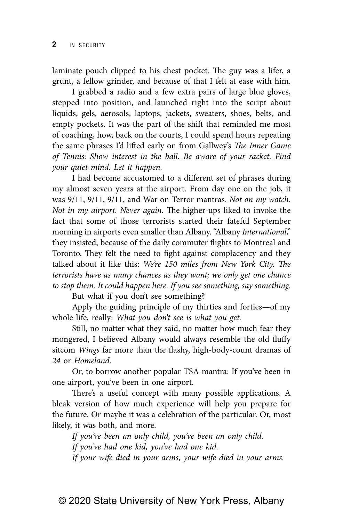laminate pouch clipped to his chest pocket. The guy was a lifer, a grunt, a fellow grinder, and because of that I felt at ease with him.

I grabbed a radio and a few extra pairs of large blue gloves, stepped into position, and launched right into the script about liquids, gels, aerosols, laptops, jackets, sweaters, shoes, belts, and empty pockets. It was the part of the shift that reminded me most of coaching, how, back on the courts, I could spend hours repeating the same phrases I'd lifted early on from Gallwey's *The Inner Game of Tennis: Show interest in the ball. Be aware of your racket. Find your quiet mind. Let it happen.*

I had become accustomed to a different set of phrases during my almost seven years at the airport. From day one on the job, it was 9/11, 9/11, 9/11, and War on Terror mantras. *Not on my watch. Not in my airport. Never again.* The higher-ups liked to invoke the fact that some of those terrorists started their fateful September morning in airports even smaller than Albany. "Albany *International*," they insisted, because of the daily commuter flights to Montreal and Toronto. They felt the need to fight against complacency and they talked about it like this: *We're 150 miles from New York City. The terrorists have as many chances as they want; we only get one chance to stop them. It could happen here. If you see something, say something.*

But what if you don't see something?

Apply the guiding principle of my thirties and forties—of my whole life, really: *What you don't see is what you get.*

Still, no matter what they said, no matter how much fear they mongered, I believed Albany would always resemble the old fluffy sitcom *Wings* far more than the flashy, high-body-count dramas of *24* or *Homeland*.

Or, to borrow another popular TSA mantra: If you've been in one airport, you've been in one airport.

There's a useful concept with many possible applications. A bleak version of how much experience will help you prepare for the future. Or maybe it was a celebration of the particular. Or, most likely, it was both, and more.

*If you've been an only child, you've been an only child. If you've had one kid, you've had one kid. If your wife died in your arms, your wife died in your arms.*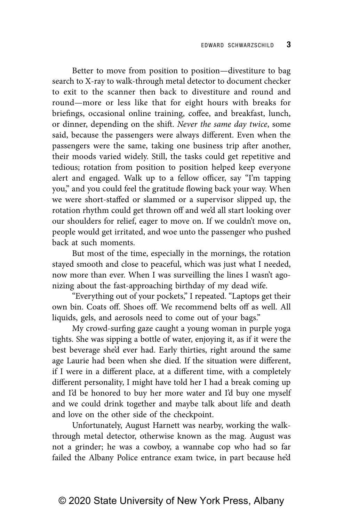Better to move from position to position—divestiture to bag search to X-ray to walk-through metal detector to document checker to exit to the scanner then back to divestiture and round and round—more or less like that for eight hours with breaks for briefings, occasional online training, coffee, and breakfast, lunch, or dinner, depending on the shift. *Never the same day twice*, some said, because the passengers were always different. Even when the passengers were the same, taking one business trip after another, their moods varied widely. Still, the tasks could get repetitive and tedious; rotation from position to position helped keep everyone alert and engaged. Walk up to a fellow officer, say "I'm tapping you," and you could feel the gratitude flowing back your way. When we were short-staffed or slammed or a supervisor slipped up, the rotation rhythm could get thrown off and we'd all start looking over our shoulders for relief, eager to move on. If we couldn't move on, people would get irritated, and woe unto the passenger who pushed back at such moments.

But most of the time, especially in the mornings, the rotation stayed smooth and close to peaceful, which was just what I needed, now more than ever. When I was surveilling the lines I wasn't agonizing about the fast-approaching birthday of my dead wife.

"Everything out of your pockets," I repeated. "Laptops get their own bin. Coats off. Shoes off. We recommend belts off as well. All liquids, gels, and aerosols need to come out of your bags."

My crowd-surfing gaze caught a young woman in purple yoga tights. She was sipping a bottle of water, enjoying it, as if it were the best beverage she'd ever had. Early thirties, right around the same age Laurie had been when she died. If the situation were different, if I were in a different place, at a different time, with a completely different personality, I might have told her I had a break coming up and I'd be honored to buy her more water and I'd buy one myself and we could drink together and maybe talk about life and death and love on the other side of the checkpoint.

Unfortunately, August Harnett was nearby, working the walkthrough metal detector, otherwise known as the mag. August was not a grinder; he was a cowboy, a wannabe cop who had so far failed the Albany Police entrance exam twice, in part because he'd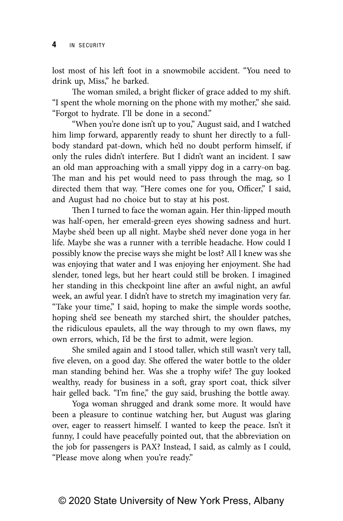lost most of his left foot in a snowmobile accident. "You need to drink up, Miss," he barked.

The woman smiled, a bright flicker of grace added to my shift. "I spent the whole morning on the phone with my mother," she said. "Forgot to hydrate. I'll be done in a second."

"When you're done isn't up to you," August said, and I watched him limp forward, apparently ready to shunt her directly to a fullbody standard pat-down, which he'd no doubt perform himself, if only the rules didn't interfere. But I didn't want an incident. I saw an old man approaching with a small yippy dog in a carry-on bag. The man and his pet would need to pass through the mag, so I directed them that way. "Here comes one for you, Officer," I said, and August had no choice but to stay at his post.

Then I turned to face the woman again. Her thin-lipped mouth was half-open, her emerald-green eyes showing sadness and hurt. Maybe she'd been up all night. Maybe she'd never done yoga in her life. Maybe she was a runner with a terrible headache. How could I possibly know the precise ways she might be lost? All I knew was she was enjoying that water and I was enjoying her enjoyment. She had slender, toned legs, but her heart could still be broken. I imagined her standing in this checkpoint line after an awful night, an awful week, an awful year. I didn't have to stretch my imagination very far. "Take your time," I said, hoping to make the simple words soothe, hoping she'd see beneath my starched shirt, the shoulder patches, the ridiculous epaulets, all the way through to my own flaws, my own errors, which, I'd be the first to admit, were legion.

She smiled again and I stood taller, which still wasn't very tall, five eleven, on a good day. She offered the water bottle to the older man standing behind her. Was she a trophy wife? The guy looked wealthy, ready for business in a soft, gray sport coat, thick silver hair gelled back. "I'm fine," the guy said, brushing the bottle away.

Yoga woman shrugged and drank some more. It would have been a pleasure to continue watching her, but August was glaring over, eager to reassert himself. I wanted to keep the peace. Isn't it funny, I could have peacefully pointed out, that the abbreviation on the job for passengers is PAX? Instead, I said, as calmly as I could, "Please move along when you're ready."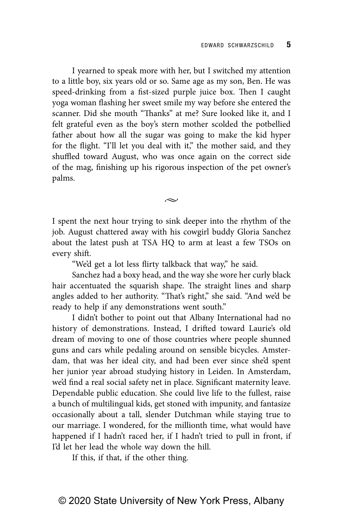I yearned to speak more with her, but I switched my attention to a little boy, six years old or so. Same age as my son, Ben. He was speed-drinking from a fist-sized purple juice box. Then I caught yoga woman flashing her sweet smile my way before she entered the scanner. Did she mouth "Thanks" at me? Sure looked like it, and I felt grateful even as the boy's stern mother scolded the potbellied father about how all the sugar was going to make the kid hyper for the flight. "I'll let you deal with it," the mother said, and they shuffled toward August, who was once again on the correct side of the mag, finishing up his rigorous inspection of the pet owner's palms.

I spent the next hour trying to sink deeper into the rhythm of the job. August chattered away with his cowgirl buddy Gloria Sanchez about the latest push at TSA HQ to arm at least a few TSOs on every shift.

 $\sim$ 

"We'd get a lot less flirty talkback that way," he said.

Sanchez had a boxy head, and the way she wore her curly black hair accentuated the squarish shape. The straight lines and sharp angles added to her authority. "That's right," she said. "And we'd be ready to help if any demonstrations went south."

I didn't bother to point out that Albany International had no history of demonstrations. Instead, I drifted toward Laurie's old dream of moving to one of those countries where people shunned guns and cars while pedaling around on sensible bicycles. Amsterdam, that was her ideal city, and had been ever since she'd spent her junior year abroad studying history in Leiden. In Amsterdam, we'd find a real social safety net in place. Significant maternity leave. Dependable public education. She could live life to the fullest, raise a bunch of multilingual kids, get stoned with impunity, and fantasize occasionally about a tall, slender Dutchman while staying true to our marriage. I wondered, for the millionth time, what would have happened if I hadn't raced her, if I hadn't tried to pull in front, if I'd let her lead the whole way down the hill.

If this, if that, if the other thing.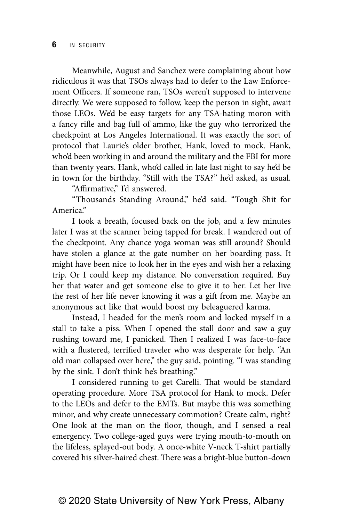Meanwhile, August and Sanchez were complaining about how ridiculous it was that TSOs always had to defer to the Law Enforcement Officers. If someone ran, TSOs weren't supposed to intervene directly. We were supposed to follow, keep the person in sight, await those LEOs. We'd be easy targets for any TSA-hating moron with a fancy rifle and bag full of ammo, like the guy who terrorized the checkpoint at Los Angeles International. It was exactly the sort of protocol that Laurie's older brother, Hank, loved to mock. Hank, who'd been working in and around the military and the FBI for more than twenty years. Hank, who'd called in late last night to say he'd be in town for the birthday. "Still with the TSA?" he'd asked, as usual.

"Affirmative," I'd answered.

"Thousands Standing Around," he'd said. "Tough Shit for America."

I took a breath, focused back on the job, and a few minutes later I was at the scanner being tapped for break. I wandered out of the checkpoint. Any chance yoga woman was still around? Should have stolen a glance at the gate number on her boarding pass. It might have been nice to look her in the eyes and wish her a relaxing trip. Or I could keep my distance. No conversation required. Buy her that water and get someone else to give it to her. Let her live the rest of her life never knowing it was a gift from me. Maybe an anonymous act like that would boost my beleaguered karma.

Instead, I headed for the men's room and locked myself in a stall to take a piss. When I opened the stall door and saw a guy rushing toward me, I panicked. Then I realized I was face-to-face with a flustered, terrified traveler who was desperate for help. "An old man collapsed over here," the guy said, pointing. "I was standing by the sink. I don't think he's breathing."

I considered running to get Carelli. That would be standard operating procedure. More TSA protocol for Hank to mock. Defer to the LEOs and defer to the EMTs. But maybe this was something minor, and why create unnecessary commotion? Create calm, right? One look at the man on the floor, though, and I sensed a real emergency. Two college-aged guys were trying mouth-to-mouth on the lifeless, splayed-out body. A once-white V-neck T-shirt partially covered his silver-haired chest. There was a bright-blue button-down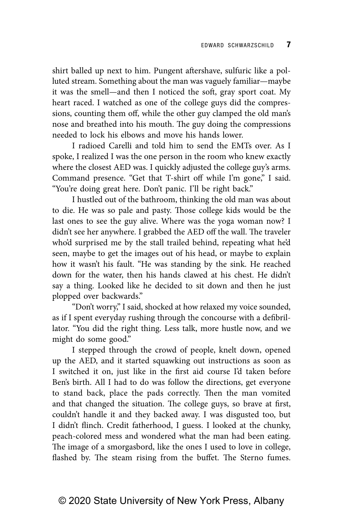shirt balled up next to him. Pungent aftershave, sulfuric like a polluted stream. Something about the man was vaguely familiar—maybe it was the smell—and then I noticed the soft, gray sport coat. My heart raced. I watched as one of the college guys did the compressions, counting them off, while the other guy clamped the old man's nose and breathed into his mouth. The guy doing the compressions needed to lock his elbows and move his hands lower.

I radioed Carelli and told him to send the EMTs over. As I spoke, I realized I was the one person in the room who knew exactly where the closest AED was. I quickly adjusted the college guy's arms. Command presence. "Get that T-shirt off while I'm gone," I said. "You're doing great here. Don't panic. I'll be right back."

I hustled out of the bathroom, thinking the old man was about to die. He was so pale and pasty. Those college kids would be the last ones to see the guy alive. Where was the yoga woman now? I didn't see her anywhere. I grabbed the AED off the wall. The traveler who'd surprised me by the stall trailed behind, repeating what he'd seen, maybe to get the images out of his head, or maybe to explain how it wasn't his fault. "He was standing by the sink. He reached down for the water, then his hands clawed at his chest. He didn't say a thing. Looked like he decided to sit down and then he just plopped over backwards."

"Don't worry," I said, shocked at how relaxed my voice sounded, as if I spent everyday rushing through the concourse with a defibrillator. "You did the right thing. Less talk, more hustle now, and we might do some good."

I stepped through the crowd of people, knelt down, opened up the AED, and it started squawking out instructions as soon as I switched it on, just like in the first aid course I'd taken before Ben's birth. All I had to do was follow the directions, get everyone to stand back, place the pads correctly. Then the man vomited and that changed the situation. The college guys, so brave at first, couldn't handle it and they backed away. I was disgusted too, but I didn't flinch. Credit fatherhood, I guess. I looked at the chunky, peach-colored mess and wondered what the man had been eating. The image of a smorgasbord, like the ones I used to love in college, flashed by. The steam rising from the buffet. The Sterno fumes.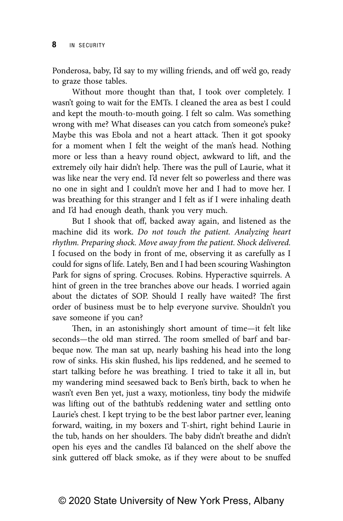Ponderosa, baby, I'd say to my willing friends, and off we'd go, ready to graze those tables.

Without more thought than that, I took over completely. I wasn't going to wait for the EMTs. I cleaned the area as best I could and kept the mouth-to-mouth going. I felt so calm. Was something wrong with me? What diseases can you catch from someone's puke? Maybe this was Ebola and not a heart attack. Then it got spooky for a moment when I felt the weight of the man's head. Nothing more or less than a heavy round object, awkward to lift, and the extremely oily hair didn't help. There was the pull of Laurie, what it was like near the very end. I'd never felt so powerless and there was no one in sight and I couldn't move her and I had to move her. I was breathing for this stranger and I felt as if I were inhaling death and I'd had enough death, thank you very much.

But I shook that off, backed away again, and listened as the machine did its work. *Do not touch the patient. Analyzing heart rhythm. Preparing shock. Move away from the patient. Shock delivered.* I focused on the body in front of me, observing it as carefully as I could for signs of life. Lately, Ben and I had been scouring Washington Park for signs of spring. Crocuses. Robins. Hyperactive squirrels. A hint of green in the tree branches above our heads. I worried again about the dictates of SOP. Should I really have waited? The first order of business must be to help everyone survive. Shouldn't you save someone if you can?

Then, in an astonishingly short amount of time—it felt like seconds—the old man stirred. The room smelled of barf and barbeque now. The man sat up, nearly bashing his head into the long row of sinks. His skin flushed, his lips reddened, and he seemed to start talking before he was breathing. I tried to take it all in, but my wandering mind seesawed back to Ben's birth, back to when he wasn't even Ben yet, just a waxy, motionless, tiny body the midwife was lifting out of the bathtub's reddening water and settling onto Laurie's chest. I kept trying to be the best labor partner ever, leaning forward, waiting, in my boxers and T-shirt, right behind Laurie in the tub, hands on her shoulders. The baby didn't breathe and didn't open his eyes and the candles I'd balanced on the shelf above the sink guttered off black smoke, as if they were about to be snuffed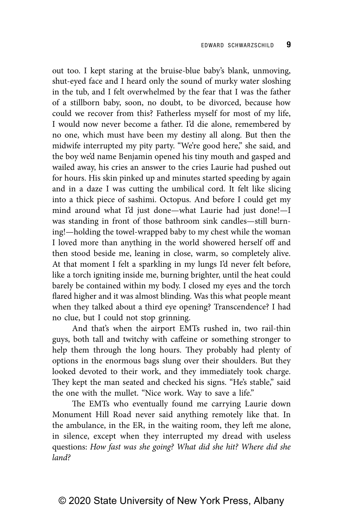out too. I kept staring at the bruise-blue baby's blank, unmoving, shut-eyed face and I heard only the sound of murky water sloshing in the tub, and I felt overwhelmed by the fear that I was the father of a stillborn baby, soon, no doubt, to be divorced, because how could we recover from this? Fatherless myself for most of my life, I would now never become a father. I'd die alone, remembered by no one, which must have been my destiny all along. But then the midwife interrupted my pity party. "We're good here," she said, and the boy we'd name Benjamin opened his tiny mouth and gasped and wailed away, his cries an answer to the cries Laurie had pushed out for hours. His skin pinked up and minutes started speeding by again and in a daze I was cutting the umbilical cord. It felt like slicing into a thick piece of sashimi. Octopus. And before I could get my mind around what I'd just done—what Laurie had just done!—I was standing in front of those bathroom sink candles—still burning!—holding the towel-wrapped baby to my chest while the woman I loved more than anything in the world showered herself off and then stood beside me, leaning in close, warm, so completely alive. At that moment I felt a sparkling in my lungs I'd never felt before, like a torch igniting inside me, burning brighter, until the heat could barely be contained within my body. I closed my eyes and the torch flared higher and it was almost blinding. Was this what people meant when they talked about a third eye opening? Transcendence? I had no clue, but I could not stop grinning.

And that's when the airport EMTs rushed in, two rail-thin guys, both tall and twitchy with caffeine or something stronger to help them through the long hours. They probably had plenty of options in the enormous bags slung over their shoulders. But they looked devoted to their work, and they immediately took charge. They kept the man seated and checked his signs. "He's stable," said the one with the mullet. "Nice work. Way to save a life."

The EMTs who eventually found me carrying Laurie down Monument Hill Road never said anything remotely like that. In the ambulance, in the ER, in the waiting room, they left me alone, in silence, except when they interrupted my dread with useless questions: *How fast was she going? What did she hit? Where did she land?*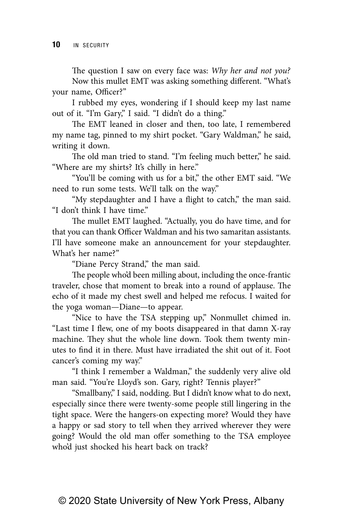The question I saw on every face was: *Why her and not you?* Now this mullet EMT was asking something different. "What's your name, Officer?"

I rubbed my eyes, wondering if I should keep my last name out of it. "I'm Gary," I said. "I didn't do a thing."

The EMT leaned in closer and then, too late, I remembered my name tag, pinned to my shirt pocket. "Gary Waldman," he said, writing it down.

The old man tried to stand. "I'm feeling much better," he said. "Where are my shirts? It's chilly in here."

"You'll be coming with us for a bit," the other EMT said. "We need to run some tests. We'll talk on the way."

"My stepdaughter and I have a flight to catch," the man said. "I don't think I have time."

The mullet EMT laughed. "Actually, you do have time, and for that you can thank Officer Waldman and his two samaritan assistants. I'll have someone make an announcement for your stepdaughter. What's her name?"

"Diane Percy Strand," the man said.

The people who'd been milling about, including the once-frantic traveler, chose that moment to break into a round of applause. The echo of it made my chest swell and helped me refocus. I waited for the yoga woman—Diane—to appear.

"Nice to have the TSA stepping up," Nonmullet chimed in. "Last time I flew, one of my boots disappeared in that damn X-ray machine. They shut the whole line down. Took them twenty minutes to find it in there. Must have irradiated the shit out of it. Foot cancer's coming my way."

"I think I remember a Waldman," the suddenly very alive old man said. "You're Lloyd's son. Gary, right? Tennis player?"

"Smallbany," I said, nodding. But I didn't know what to do next, especially since there were twenty-some people still lingering in the tight space. Were the hangers-on expecting more? Would they have a happy or sad story to tell when they arrived wherever they were going? Would the old man offer something to the TSA employee who'd just shocked his heart back on track?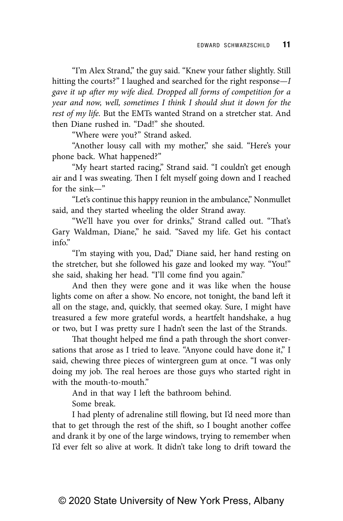"I'm Alex Strand," the guy said. "Knew your father slightly. Still hitting the courts?" I laughed and searched for the right response—*I gave it up after my wife died. Dropped all forms of competition for a year and now, well, sometimes I think I should shut it down for the rest of my life.* But the EMTs wanted Strand on a stretcher stat. And then Diane rushed in. "Dad!" she shouted.

"Where were you?" Strand asked.

"Another lousy call with my mother," she said. "Here's your phone back. What happened?"

"My heart started racing," Strand said. "I couldn't get enough air and I was sweating. Then I felt myself going down and I reached for the sink—"

"Let's continue this happy reunion in the ambulance," Nonmullet said, and they started wheeling the older Strand away.

"We'll have you over for drinks," Strand called out. "That's Gary Waldman, Diane," he said. "Saved my life. Get his contact info"

"I'm staying with you, Dad," Diane said, her hand resting on the stretcher, but she followed his gaze and looked my way. "You!" she said, shaking her head. "I'll come find you again."

And then they were gone and it was like when the house lights come on after a show. No encore, not tonight, the band left it all on the stage, and, quickly, that seemed okay. Sure, I might have treasured a few more grateful words, a heartfelt handshake, a hug or two, but I was pretty sure I hadn't seen the last of the Strands.

That thought helped me find a path through the short conversations that arose as I tried to leave. "Anyone could have done it," I said, chewing three pieces of wintergreen gum at once. "I was only doing my job. The real heroes are those guys who started right in with the mouth-to-mouth."

And in that way I left the bathroom behind.

Some break.

I had plenty of adrenaline still flowing, but I'd need more than that to get through the rest of the shift, so I bought another coffee and drank it by one of the large windows, trying to remember when I'd ever felt so alive at work. It didn't take long to drift toward the